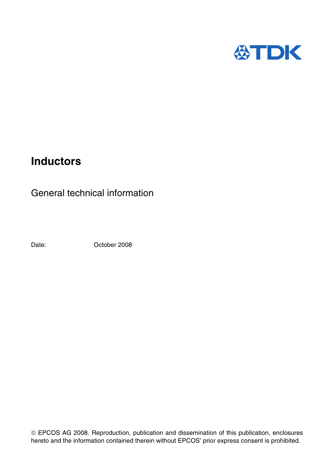

# **Inductors**

General technical information

Date: October 2008

 EPCOS AG 2008. Reproduction, publication and dissemination of this publication, enclosures hereto and the information contained therein without EPCOS' prior express consent is prohibited.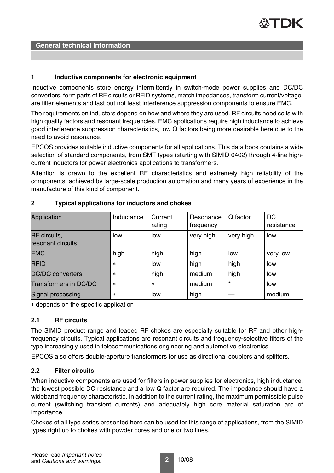

## **1 Inductive components for electronic equipment**

Inductive components store energy intermittently in switch-mode power supplies and DC/DC converters, form parts of RF circuits or RFID systems, match impedances, transform current/voltage, are filter elements and last but not least interference suppression components to ensure EMC.

The requirements on inductors depend on how and where they are used. RF circuits need coils with high quality factors and resonant frequencies. EMC applications require high inductance to achieve good interference suppression characteristics, low Q factors being more desirable here due to the need to avoid resonance.

EPCOS provides suitable inductive components for all applications. This data book contains a wide selection of standard components, from SMT types (starting with SIMID 0402) through 4-line highcurrent inductors for power electronics applications to transformers.

Attention is drawn to the excellent RF characteristics and extremely high reliability of the components, achieved by large-scale production automation and many years of experience in the manufacture of this kind of component.

| Application                       | Inductance | Current<br>rating | Resonance<br>frequency | Q factor  | <b>DC</b><br>resistance |  |
|-----------------------------------|------------|-------------------|------------------------|-----------|-------------------------|--|
| RF circuits,<br>resonant circuits | low        | low               | very high              | very high | low                     |  |
| <b>EMC</b>                        | high       | high              | high                   | low       | very low                |  |
| <b>RFID</b>                       | $\ast$     | low               | high                   | high      | low                     |  |
| <b>DC/DC</b> converters           | $\star$    | high              | medium                 | high      | low                     |  |
| <b>Transformers in DC/DC</b>      | $\ast$     | $\star$           | medium                 | $\star$   | low                     |  |
| Signal processing                 | $\ast$     | low               | high                   |           | medium                  |  |

## **2 Typical applications for inductors and chokes**

∗ depends on the specific application

#### **2.1 RF circuits**

The SIMID product range and leaded RF chokes are especially suitable for RF and other highfrequency circuits. Typical applications are resonant circuits and frequency-selective filters of the type increasingly used in telecommunications engineering and automotive electronics.

EPCOS also offers double-aperture transformers for use as directional couplers and splitters.

## **2.2 Filter circuits**

When inductive components are used for filters in power supplies for electronics, high inductance, the lowest possible DC resistance and a low Q factor are required. The impedance should have a wideband frequency characteristic. In addition to the current rating, the maximum permissible pulse current (switching transient currents) and adequately high core material saturation are of importance.

Chokes of all type series presented here can be used for this range of applications, from the SIMID types right up to chokes with powder cores and one or two lines.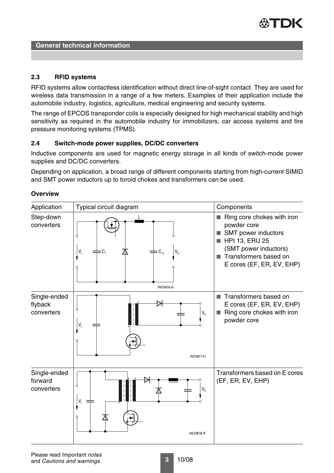

## **2.3 RFID systems**

RFID systems allow contactless identification without direct line-of-sight contact. They are used for wireless data transmission in a range of a few meters. Examples of their application include the automobile industry, logistics, agriculture, medical engineering and security systems.

The range of EPCOS transponder coils is especially designed for high mechanical stability and high sensitivity as required in the automobile industry for immobilizers, car access systems and tire pressure monitoring systems (TPMS).

## **2.4 Switch-mode power supplies, DC/DC converters**

Inductive components are used for magnetic energy storage in all kinds of switch-mode power supplies and DC/DC converters.

Depending on application, a broad range of different components starting from high-current SIMID and SMT power inductors up to toroid chokes and transformers can be used.

#### **Overview**

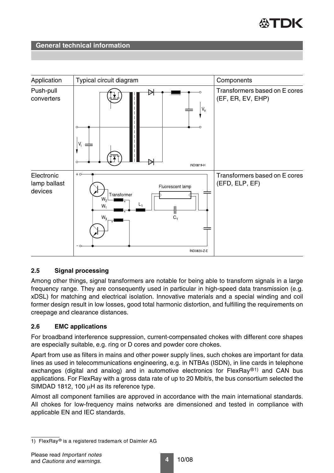



#### **2.5 Signal processing**

Among other things, signal transformers are notable for being able to transform signals in a large frequency range. They are consequently used in particular in high-speed data transmission (e.g. xDSL) for matching and electrical isolation. Innovative materials and a special winding and coil former design result in low losses, good total harmonic distortion, and fulfilling the requirements on creepage and clearance distances.

#### **2.6 EMC applications**

For broadband interference suppression, current-compensated chokes with different core shapes are especially suitable, e.g. ring or D cores and powder core chokes.

Apart from use as filters in mains and other power supply lines, such chokes are important for data lines as used in telecommunications engineering, e.g. in NTBAs (ISDN), in line cards in telephone exchanges (digital and analog) and in automotive electronics for FlexRay<sup>®1)</sup> and CAN bus applications. For FlexRay with a gross data rate of up to 20 Mbit/s, the bus consortium selected the SIMDAD 1812, 100  $\mu$ H as its reference type.

Almost all component families are approved in accordance with the main international standards. All chokes for low-frequency mains networks are dimensioned and tested in compliance with applicable EN and IEC standards.

<sup>1)</sup> FlexRay® is a registered trademark of Daimler AG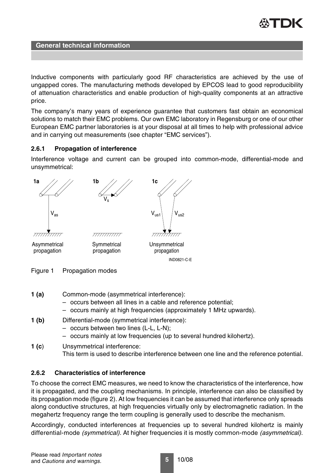

Inductive components with particularly good RF characteristics are achieved by the use of ungapped cores. The manufacturing methods developed by EPCOS lead to good reproducibility of attenuation characteristics and enable production of high-quality components at an attractive price.

The company's many years of experience guarantee that customers fast obtain an economical solutions to match their EMC problems. Our own EMC laboratory in Regensburg or one of our other European EMC partner laboratories is at your disposal at all times to help with professional advice and in carrying out measurements (see chapter "EMC services").

#### **2.6.1 Propagation of interference**

Interference voltage and current can be grouped into common-mode, differential-mode and unsymmetrical:



Figure 1 Propagation modes

**1 (a)** Common-mode (asymmetrical interference):

- occurs between all lines in a cable and reference potential;
- occurs mainly at high frequencies (approximately 1 MHz upwards).
- **1 (b)** Differential-mode (symmetrical interference):
	- occurs between two lines (L-L, L-N);
	- occurs mainly at low frequencies (up to several hundred kilohertz).

## **1 (c**) Unsymmetrical interference: This term is used to describe interference between one line and the reference potential.

## **2.6.2 Characteristics of interference**

To choose the correct EMC measures, we need to know the characteristics of the interference, how it is propagated, and the coupling mechanisms. In principle, interference can also be classified by its propagation mode [\(figure 2\)](#page-5-0). At low frequencies it can be assumed that interference only spreads along conductive structures, at high frequencies virtually only by electromagnetic radiation. In the megahertz frequency range the term coupling is generally used to describe the mechanism.

Accordingly, conducted interferences at frequencies up to several hundred kilohertz is mainly differential-mode *(symmetrical)*. At higher frequencies it is mostly common-mode *(asymmetrical)*.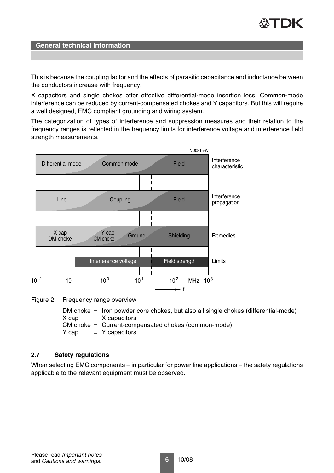

This is because the coupling factor and the effects of parasitic capacitance and inductance between the conductors increase with frequency.

X capacitors and single chokes offer effective differential-mode insertion loss. Common-mode interference can be reduced by current-compensated chokes and Y capacitors. But this will require a well designed, EMC compliant grounding and wiring system.

The categorization of types of interference and suppression measures and their relation to the frequency ranges is reflected in the frequency limits for interference voltage and interference field strength measurements.



<span id="page-5-0"></span>Figure 2 Frequency range overview

DM choke = Iron powder core chokes, but also all single chokes (differential-mode)  $X cap = X capacitors$ CM choke = Current-compensated chokes (common-mode)  $Y$  cap  $Y$  capacitors

#### **2.7 Safety regulations**

When selecting EMC components – in particular for power line applications – the safety regulations applicable to the relevant equipment must be observed.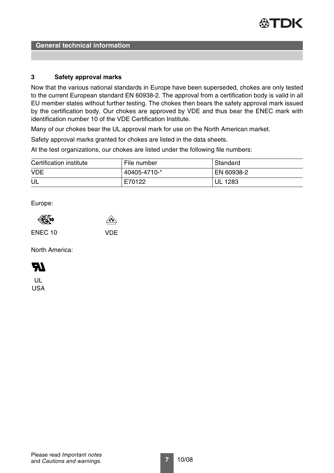

#### **3 Safety approval marks**

Now that the various national standards in Europe have been superseded, chokes are only tested to the current European standard EN 60938-2. The approval from a certification body is valid in all EU member states without further testing. The chokes then bears the safety approval mark issued by the certification body. Our chokes are approved by VDE and thus bear the ENEC mark with identification number 10 of the VDE Certification Institute.

Many of our chokes bear the UL approval mark for use on the North American market.

Safety approval marks granted for chokes are listed in the data sheets.

At the test organizations, our chokes are listed under the following file numbers:

| Certification institute | File number  | Standard       |
|-------------------------|--------------|----------------|
| <b>VDE</b>              | 40405-4710-* | EN 60938-2     |
| UL                      | E70122       | <b>UL 1283</b> |

Europe:

ENEC 10 VDE

North America:



UL USA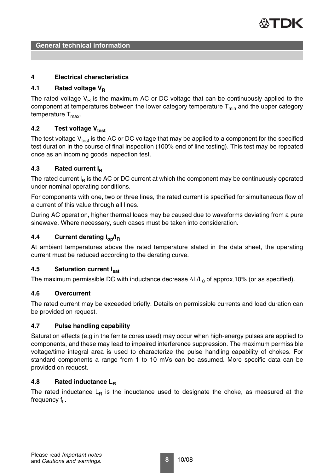

## **4 Electrical characteristics**

## **4.1** Rated voltage V<sub>R</sub>

The rated voltage  $V_R$  is the maximum AC or DC voltage that can be continuously applied to the component at temperatures between the lower category temperature  $T_{min}$  and the upper category temperature  $T_{\text{max}}$ .

## **4.2** Test voltage V<sub>test</sub>

The test voltage  $V_{test}$  is the AC or DC voltage that may be applied to a component for the specified test duration in the course of final inspection (100% end of line testing). This test may be repeated once as an incoming goods inspection test.

## **4.3 Rated current IR**

The rated current  $I_R$  is the AC or DC current at which the component may be continuously operated under nominal operating conditions.

For components with one, two or three lines, the rated current is specified for simultaneous flow of a current of this value through all lines.

During AC operation, higher thermal loads may be caused due to waveforms deviating from a pure sinewave. Where necessary, such cases must be taken into consideration.

## **4.4 Current derating Iop/IR**

At ambient temperatures above the rated temperature stated in the data sheet, the operating current must be reduced according to the derating curve.

#### **4.5 Saturation current Isat**

The maximum permissible DC with inductance decrease  $\Delta L/L_0$  of approx.10% (or as specified).

#### **4.6 Overcurrent**

The rated current may be exceeded briefly. Details on permissible currents and load duration can be provided on request.

#### **4.7 Pulse handling capability**

Saturation effects (e.g in the ferrite cores used) may occur when high-energy pulses are applied to components, and these may lead to impaired interference suppression. The maximum permissible voltage/time integral area is used to characterize the pulse handling capability of chokes. For standard components a range from 1 to 10 mVs can be assumed. More specific data can be provided on request.

#### **4.8** Rated inductance L<sub>R</sub>

The rated inductance  $L_R$  is the inductance used to designate the choke, as measured at the frequency  $f<sub>L</sub>$ .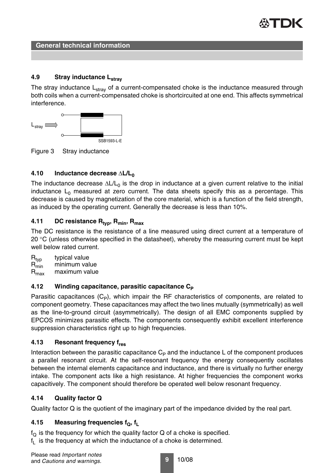

## **4.9** Stray inductance L<sub>strav</sub>

The stray inductance  $L_{\text{stray}}$  of a current-compensated choke is the inductance measured through both coils when a current-compensated choke is shortcircuited at one end. This affects symmetrical interference.



Figure 3 Stray inductance

## **4.10 Inductance decrease** ∆**L/L0**

The inductance decrease  $\Delta L/L_0$  is the drop in inductance at a given current relative to the initial inductance  $L_0$  measured at zero current. The data sheets specify this as a percentage. This decrease is caused by magnetization of the core material, which is a function of the field strength, as induced by the operating current. Generally the decrease is less than 10%.

## 4.11 DC resistance R<sub>typ</sub>, R<sub>min</sub>, R<sub>max</sub>

The DC resistance is the resistance of a line measured using direct current at a temperature of 20  $\degree$ C (unless otherwise specified in the datasheet), whereby the measuring current must be kept well below rated current.

R<sub>typ</sub> typical value<br>R<sub>min</sub> minimum val  $R_{\text{min}}$  minimum value<br> $R_{\text{max}}$  maximum value maximum value

## **4.12** Winding capacitance, parasitic capacitance C<sub>P</sub>

Parasitic capacitances  $(C_P)$ , which impair the RF characteristics of components, are related to component geometry. These capacitances may affect the two lines mutually (symmetrically) as well as the line-to-ground circuit (asymmetrically). The design of all EMC components supplied by EPCOS minimizes parasitic effects. The components consequently exhibit excellent interference suppression characteristics right up to high frequencies.

## **4.13 Resonant frequency fres**

Interaction between the parasitic capacitance  $C_P$  and the inductance L of the component produces a parallel resonant circuit. At the self-resonant frequency the energy consequently oscillates between the internal elements capacitance and inductance, and there is virtually no further energy intake. The component acts like a high resistance. At higher frequencies the component works capacitively. The component should therefore be operated well below resonant frequency.

## **4.14 Quality factor Q**

Quality factor Q is the quotient of the imaginary part of the impedance divided by the real part.

## **4.15 Measuring frequencies f<sub>o</sub>, f<sub>L</sub>**

 $f_{\Omega}$  is the frequency for which the quality factor Q of a choke is specified.

 $f<sub>L</sub>$  is the frequency at which the inductance of a choke is determined.

**9** 10/08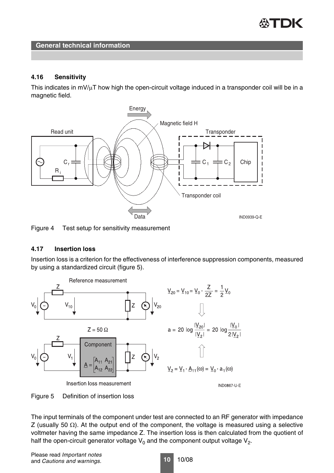

#### **4.16 Sensitivity**

This indicates in  $mV/\mu T$  how high the open-circuit voltage induced in a transponder coil will be in a magnetic field.



Figure 4 Test setup for sensitivity measurement

#### **4.17 Insertion loss**

Insertion loss is a criterion for the effectiveness of interference suppression components, measured by using a standardized circuit ([figure 5](#page-9-0)).



<span id="page-9-0"></span>The input terminals of the component under test are connected to an RF generator with impedance Z (usually 50  $\Omega$ ). At the output end of the component, the voltage is measured using a selective voltmeter having the same impedance Z. The insertion loss is then calculated from the quotient of half the open-circuit generator voltage  $V_0$  and the component output voltage  $V_2$ .

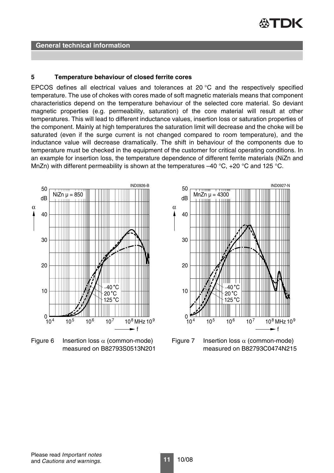

#### **5 Temperature behaviour of closed ferrite cores**

EPCOS defines all electrical values and tolerances at 20 °C and the respectively specified temperature. The use of chokes with cores made of soft magnetic materials means that component characteristics depend on the temperature behaviour of the selected core material. So deviant magnetic properties (e.g. permeability, saturation) of the core material will result at other temperatures. This will lead to different inductance values, insertion loss or saturation properties of the component. Mainly at high temperatures the saturation limit will decrease and the choke will be saturated (even if the surge current is not changed compared to room temperature), and the inductance value will decrease dramatically. The shift in behaviour of the components due to temperature must be checked in the equipment of the customer for critical operating conditions. In an example for insertion loss, the temperature dependence of different ferrite materials (NiZn and MnZn) with different permeability is shown at the temperatures  $-40\degree C$ , +20  $\degree C$  and 125  $\degree C$ .



Figure 6 Insertion loss  $\alpha$  (common-mode) measured on B82793S0513N201



Figure 7 Insertion loss  $\alpha$  (common-mode) measured on B82793C0474N215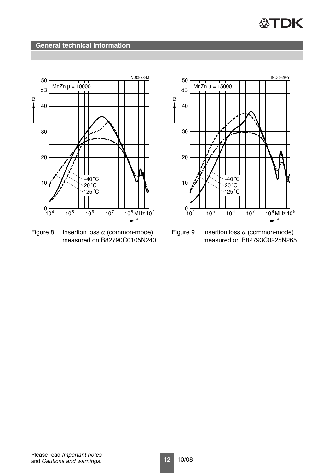



Figure 8 Insertion loss  $\alpha$  (common-mode) measured on B82790C0105N240



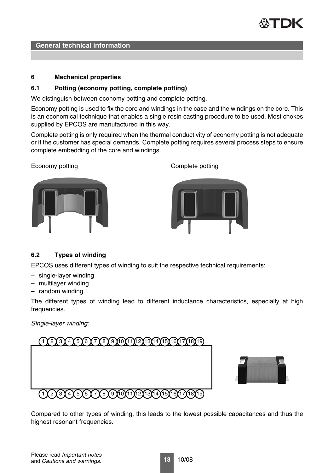

#### **6 Mechanical properties**

#### **6.1 Potting (economy potting, complete potting)**

We distinguish between economy potting and complete potting.

Economy potting is used to fix the core and windings in the case and the windings on the core. This is an economical technique that enables a single resin casting procedure to be used. Most chokes supplied by EPCOS are manufactured in this way.

Complete potting is only required when the thermal conductivity of economy potting is not adequate or if the customer has special demands. Complete potting requires several process steps to ensure complete embedding of the core and windings.



Economy potting and a setting complete potting complete potting



#### **6.2 Types of winding**

EPCOS uses different types of winding to suit the respective technical requirements:

- single-layer winding
- multilayer winding
- random winding

The different types of winding lead to different inductance characteristics, especially at high frequencies.

*Single-layer winding:*





## Compared to other types of winding, this leads to the lowest possible capacitances and thus the highest resonant frequencies.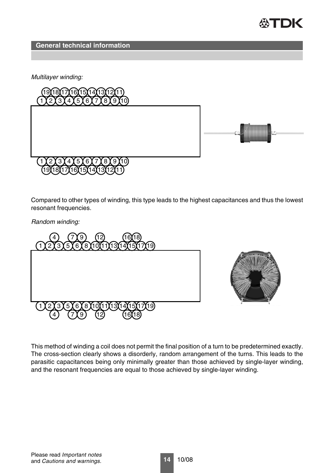

*Multilayer winding:*



Compared to other types of winding, this type leads to the highest capacitances and thus the lowest resonant frequencies.

*Random winding:*



This method of winding a coil does not permit the final position of a turn to be predetermined exactly. The cross-section clearly shows a disorderly, random arrangement of the turns. This leads to the parasitic capacitances being only minimally greater than those achieved by single-layer winding, and the resonant frequencies are equal to those achieved by single-layer winding.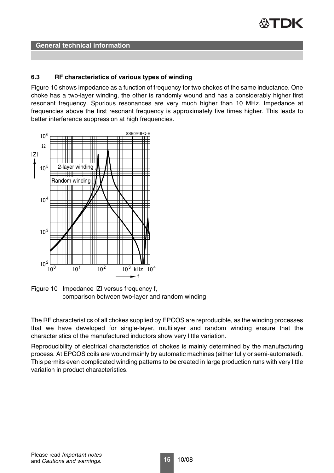

## **6.3 RF characteristics of various types of winding**

[Figure 10](#page-14-0) shows impedance as a function of frequency for two chokes of the same inductance. One choke has a two-layer winding, the other is randomly wound and has a considerably higher first resonant frequency. Spurious resonances are very much higher than 10 MHz. Impedance at frequencies above the first resonant frequency is approximately five times higher. This leads to better interference suppression at high frequencies.



<span id="page-14-0"></span>

The RF characteristics of all chokes supplied by EPCOS are reproducible, as the winding processes that we have developed for single-layer, multilayer and random winding ensure that the characteristics of the manufactured inductors show very little variation.

Reproducibility of electrical characteristics of chokes is mainly determined by the manufacturing process. At EPCOS coils are wound mainly by automatic machines (either fully or semi-automated). This permits even complicated winding patterns to be created in large production runs with very little variation in product characteristics.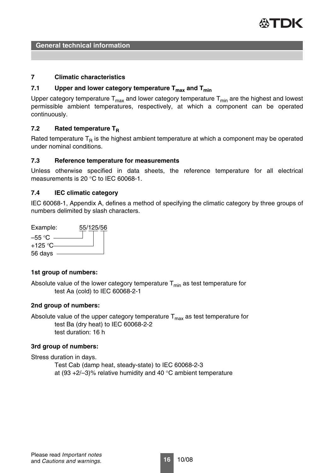

#### **7 Climatic characteristics**

## 7.1 Upper and lower category temperature T<sub>max</sub> and T<sub>min</sub>

Upper category temperature  $T_{max}$  and lower category temperature  $T_{min}$  are the highest and lowest permissible ambient temperatures, respectively, at which a component can be operated continuously.

#### **7.2** Rated temperature T<sub>R</sub>

Rated temperature  $T_R$  is the highest ambient temperature at which a component may be operated under nominal conditions.

#### **7.3 Reference temperature for measurements**

Unless otherwise specified in data sheets, the reference temperature for all electrical measurements is 20 °C to IEC 60068-1.

#### **7.4 IEC climatic category**

lEC 60068-1, Appendix A, defines a method of specifying the climatic category by three groups of numbers delimited by slash characters.

| Example:   | 55/125/56 |  |  |  |  |
|------------|-----------|--|--|--|--|
| $-55$ °C   |           |  |  |  |  |
| $+125$ °C- |           |  |  |  |  |
| 56 days    |           |  |  |  |  |

#### **1st group of numbers:**

Absolute value of the lower category temperature  $T_{min}$  as test temperature for test Aa (cold) to IEC 60068-2-1

#### **2nd group of numbers:**

Absolute value of the upper category temperature  $T_{\text{max}}$  as test temperature for test Ba (dry heat) to IEC 60068-2-2 test duration: 16 h

#### **3rd group of numbers:**

Stress duration in days.

Test Cab (damp heat, steady-state) to IEC 60068-2-3 at  $(93 + 2/-3)$ % relative humidity and 40 °C ambient temperature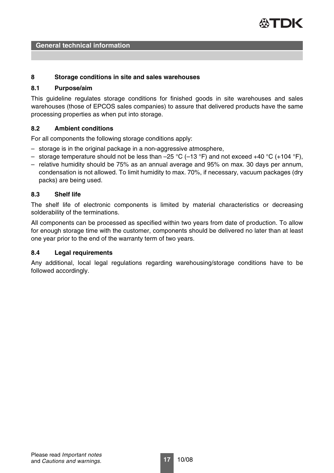

#### **8 Storage conditions in site and sales warehouses**

#### **8.1 Purpose/aim**

This guideline regulates storage conditions for finished goods in site warehouses and sales warehouses (those of EPCOS sales companies) to assure that delivered products have the same processing properties as when put into storage.

#### **8.2 Ambient conditions**

For all components the following storage conditions apply:

- storage is in the original package in a non-aggressive atmosphere,
- storage temperature should not be less than –25 °C (–13 °F) and not exceed +40 °C (+104 °F),
- relative humidity should be 75% as an annual average and 95% on max. 30 days per annum, condensation is not allowed. To limit humidity to max. 70%, if necessary, vacuum packages (dry packs) are being used.

#### **8.3 Shelf life**

The shelf life of electronic components is limited by material characteristics or decreasing solderability of the terminations.

All components can be processed as specified within two years from date of production. To allow for enough storage time with the customer, components should be delivered no later than at least one year prior to the end of the warranty term of two years.

#### **8.4 Legal requirements**

Any additional, local legal regulations regarding warehousing/storage conditions have to be followed accordingly.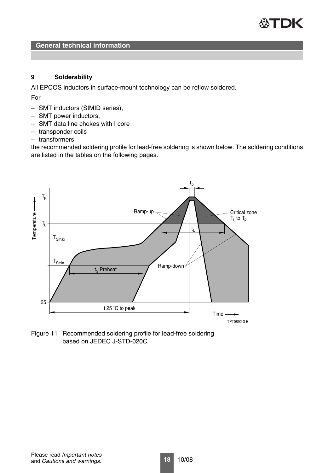

#### **9 Solderability**

All EPCOS inductors in surface-mount technology can be reflow soldered.

For

- SMT inductors (SIMID series),
- SMT power inductors,
- SMT data line chokes with I core
- transponder coils
- transformers

the recommended soldering profile for lead-free soldering is shown below. The soldering conditions are listed in the tables on the following pages.



Figure 11 Recommended soldering profile for lead-free soldering based on JEDEC J-STD-020C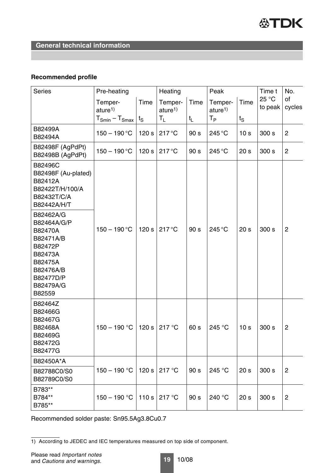

## **Recommended profile**

| <b>Series</b>                                                                                                                      | Pre-heating                         |                  | Heating                       |                 | Peak                           |                 | Time t           | No.            |
|------------------------------------------------------------------------------------------------------------------------------------|-------------------------------------|------------------|-------------------------------|-----------------|--------------------------------|-----------------|------------------|----------------|
|                                                                                                                                    | Temper-<br>ature <sup>1</sup>       | Time             | Temper-<br>ature <sup>1</sup> | Time            | Temper-<br>ature <sup>1)</sup> | Time            | 25 °C<br>to peak | of<br>cycles   |
|                                                                                                                                    | $T_{\text{Smin}} - T_{\text{Smax}}$ | $t_{\rm S}$      | $T_{L}$                       | $t_L$           | $T_{\mathsf{P}}$               | $t_{\rm S}$     |                  |                |
| B82499A<br>B82494A                                                                                                                 | $150 - 190$ °C                      | 120 <sub>s</sub> | $217^{\circ}C$                | 90 <sub>s</sub> | 245 °C                         | 10 <sub>s</sub> | 300 s            | $\overline{2}$ |
| B82498F (AgPdPt)<br>B82498B (AgPdPt)                                                                                               | $150 - 190 °C$                      | 120 <sub>s</sub> | $217^{\circ}$ C               | 90 <sub>s</sub> | 245 °C                         | 20 <sub>s</sub> | 300 s            | $\mathbf{2}$   |
| B82496C<br>B82498F (Au-plated)<br>B82412A<br>B82422T/H/100/A<br>B82432T/C/A<br>B82442A/H/T                                         |                                     |                  |                               |                 |                                |                 |                  |                |
| B82462A/G<br>B82464A/G/P<br>B82470A<br>B82471A/B<br>B82472P<br>B82473A<br>B82475A<br>B82476A/B<br>B82477D/P<br>B82479A/G<br>B82559 | $150 - 190$ °C                      | 120 <sub>s</sub> | 217 °C                        | 90 <sub>s</sub> | 245 °C                         | 20 <sub>s</sub> | 300 s            | $\overline{2}$ |
| B82464Z<br>B82466G<br>B82467G<br>B82468A<br>B82469G<br>B82472G<br>B82477G                                                          | $150 - 190 °C$                      | 120 <sub>s</sub> | 217 °C                        | 60 s            | 245 °C                         | 10 <sub>s</sub> | 300 s            | $\overline{c}$ |
| B82450A*A                                                                                                                          |                                     |                  |                               |                 |                                |                 |                  |                |
| B82788C0/S0<br>B82789C0/S0                                                                                                         | $150 - 190 °C$                      | 120 <sub>s</sub> | 217 $\degree$ C               | 90 <sub>s</sub> | 245 °C                         | 20 <sub>s</sub> | 300 s            | $\overline{2}$ |
| B783**<br>B784**<br>B785**                                                                                                         | $150 - 190 °C$                      | 110s             | 217 $\degree$ C               | 90 <sub>s</sub> | 240 °C                         | 20 <sub>s</sub> | 300 s            | $\overline{2}$ |

Recommended solder paste: Sn95.5Ag3.8Cu0.7

1) According to JEDEC and IEC temperatures measured on top side of component.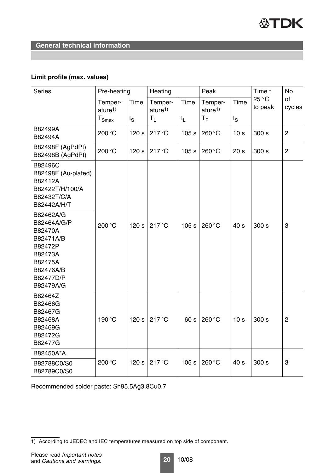

## **Limit profile (max. values)**

| <b>Series</b>                                                                                                            | Pre-heating                                      |                  | Heating                                  |                  | Peak                                     |                                      | Time t           | No.            |
|--------------------------------------------------------------------------------------------------------------------------|--------------------------------------------------|------------------|------------------------------------------|------------------|------------------------------------------|--------------------------------------|------------------|----------------|
|                                                                                                                          | Temper-<br>ature <sup>1)</sup><br>$T_{\rm Smax}$ | Time<br>$t_S$    | Temper-<br>ature <sup>1</sup><br>$T_{L}$ | Time<br>$t_{L}$  | Temper-<br>ature <sup>1</sup><br>$T_{P}$ | Time<br>$t_{\scriptstyle\textrm{S}}$ | 25 °C<br>to peak | of<br>cycles   |
| B82499A<br>B82494A                                                                                                       | 200 °C                                           | 120 <sub>s</sub> | $217^{\circ}$ C                          | 105 <sub>s</sub> | 260 °C                                   | 10 <sub>s</sub>                      | 300 s            | $\overline{2}$ |
| B82498F (AgPdPt)<br>B82498B (AgPdPt)                                                                                     | 200 °C                                           | 120 <sub>s</sub> | $ 217^{\circ}C$                          | 105 s            | 260 °C                                   | 20 <sub>s</sub>                      | 300 s            | $\overline{2}$ |
| B82496C<br>B82498F (Au-plated)<br>B82412A<br>B82422T/H/100/A<br>B82432T/C/A<br>B82442A/H/T                               |                                                  |                  |                                          |                  |                                          |                                      |                  |                |
| B82462A/G<br>B82464A/G/P<br>B82470A<br>B82471A/B<br>B82472P<br>B82473A<br>B82475A<br>B82476A/B<br>B82477D/P<br>B82479A/G | 200 °C                                           | 120 <sub>s</sub> | 217 °C                                   | 105 <sub>s</sub> | 260 °C                                   | 40 <sub>s</sub>                      | 300 s            | 3              |
| B82464Z<br>B82466G<br>B82467G<br>B82468A<br>B82469G<br>B82472G<br>B82477G                                                | 190 °C                                           | 120 <sub>s</sub> | 217 °C                                   | 60 s             | 260 °C                                   | 10 <sub>s</sub>                      | 300 s            | $\overline{2}$ |
| B82450A*A<br>B82788C0/S0<br>B82789C0/S0                                                                                  | 200 °C                                           | 120 <sub>s</sub> | $217^{\circ}$ C                          | 105 <sub>s</sub> | 260 °C                                   | 40 <sub>s</sub>                      | 300 s            | 3              |

Recommended solder paste: Sn95.5Ag3.8Cu0.7

<sup>1)</sup> According to JEDEC and IEC temperatures measured on top side of component.